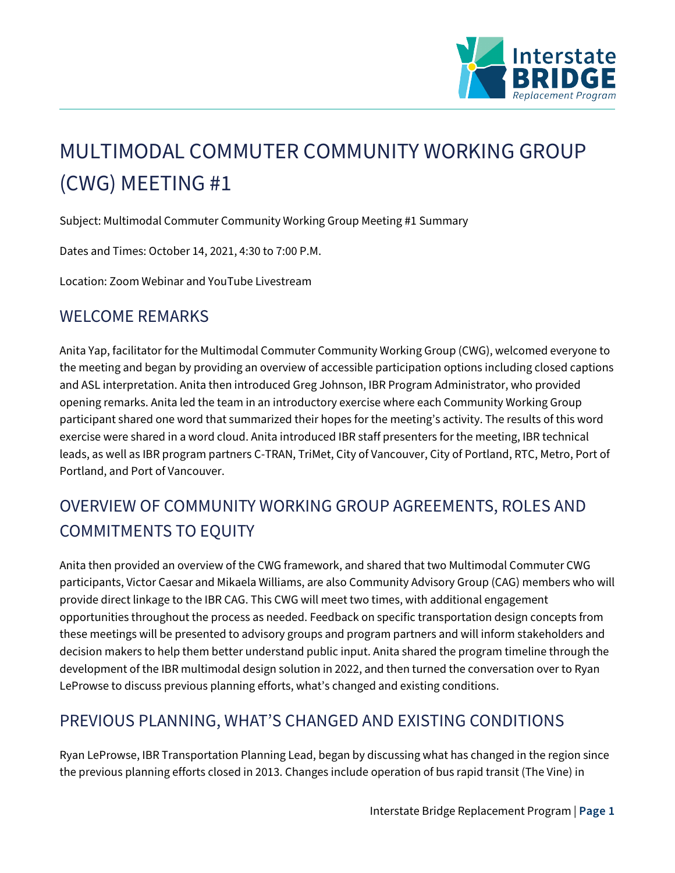

# MULTIMODAL COMMUTER COMMUNITY WORKING GROUP (CWG) MEETING #1

Subject: Multimodal Commuter Community Working Group Meeting #1 Summary

Dates and Times: October 14, 2021, 4:30 to 7:00 P.M.

Location: Zoom Webinar and YouTube Livestream

#### WELCOME REMARKS

Anita Yap, facilitator for the Multimodal Commuter Community Working Group (CWG), welcomed everyone to the meeting and began by providing an overview of accessible participation options including closed captions and ASL interpretation. Anita then introduced Greg Johnson, IBR Program Administrator, who provided opening remarks. Anita led the team in an introductory exercise where each Community Working Group participant shared one word that summarized their hopes for the meeting's activity. The results of this word exercise were shared in a word cloud. Anita introduced IBR staff presenters for the meeting, IBR technical leads, as well as IBR program partners C-TRAN, TriMet, City of Vancouver, City of Portland, RTC, Metro, Port of Portland, and Port of Vancouver.

## OVERVIEW OF COMMUNITY WORKING GROUP AGREEMENTS, ROLES AND COMMITMENTS TO EQUITY

Anita then provided an overview of the CWG framework, and shared that two Multimodal Commuter CWG participants, Victor Caesar and Mikaela Williams, are also Community Advisory Group (CAG) members who will provide direct linkage to the IBR CAG. This CWG will meet two times, with additional engagement opportunities throughout the process as needed. Feedback on specific transportation design concepts from these meetings will be presented to advisory groups and program partners and will inform stakeholders and decision makers to help them better understand public input. Anita shared the program timeline through the development of the IBR multimodal design solution in 2022, and then turned the conversation over to Ryan LeProwse to discuss previous planning efforts, what's changed and existing conditions.

## PREVIOUS PLANNING, WHAT'S CHANGED AND EXISTING CONDITIONS

Ryan LeProwse, IBR Transportation Planning Lead, began by discussing what has changed in the region since the previous planning efforts closed in 2013. Changes include operation of bus rapid transit (The Vine) in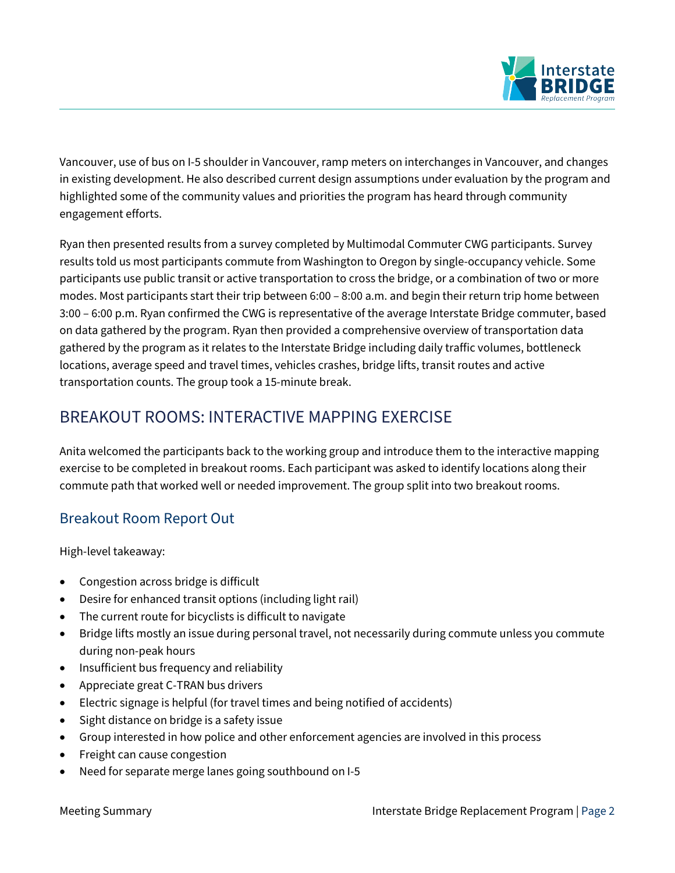

Vancouver, use of bus on I-5 shoulder in Vancouver, ramp meters on interchanges in Vancouver, and changes in existing development. He also described current design assumptions under evaluation by the program and highlighted some of the community values and priorities the program has heard through community engagement efforts.

Ryan then presented results from a survey completed by Multimodal Commuter CWG participants. Survey results told us most participants commute from Washington to Oregon by single-occupancy vehicle. Some participants use public transit or active transportation to cross the bridge, or a combination of two or more modes. Most participants start their trip between 6:00 – 8:00 a.m. and begin their return trip home between 3:00 – 6:00 p.m. Ryan confirmed the CWG is representative of the average Interstate Bridge commuter, based on data gathered by the program. Ryan then provided a comprehensive overview of transportation data gathered by the program as it relates to the Interstate Bridge including daily traffic volumes, bottleneck locations, average speed and travel times, vehicles crashes, bridge lifts, transit routes and active transportation counts. The group took a 15-minute break.

## BREAKOUT ROOMS: INTERACTIVE MAPPING EXERCISE

Anita welcomed the participants back to the working group and introduce them to the interactive mapping exercise to be completed in breakout rooms. Each participant was asked to identify locations along their commute path that worked well or needed improvement. The group split into two breakout rooms.

#### Breakout Room Report Out

High-level takeaway:

- Congestion across bridge is difficult
- Desire for enhanced transit options (including light rail)
- The current route for bicyclists is difficult to navigate
- Bridge lifts mostly an issue during personal travel, not necessarily during commute unless you commute during non-peak hours
- Insufficient bus frequency and reliability
- Appreciate great C-TRAN bus drivers
- Electric signage is helpful (for travel times and being notified of accidents)
- Sight distance on bridge is a safety issue
- Group interested in how police and other enforcement agencies are involved in this process
- Freight can cause congestion
- Need for separate merge lanes going southbound on I-5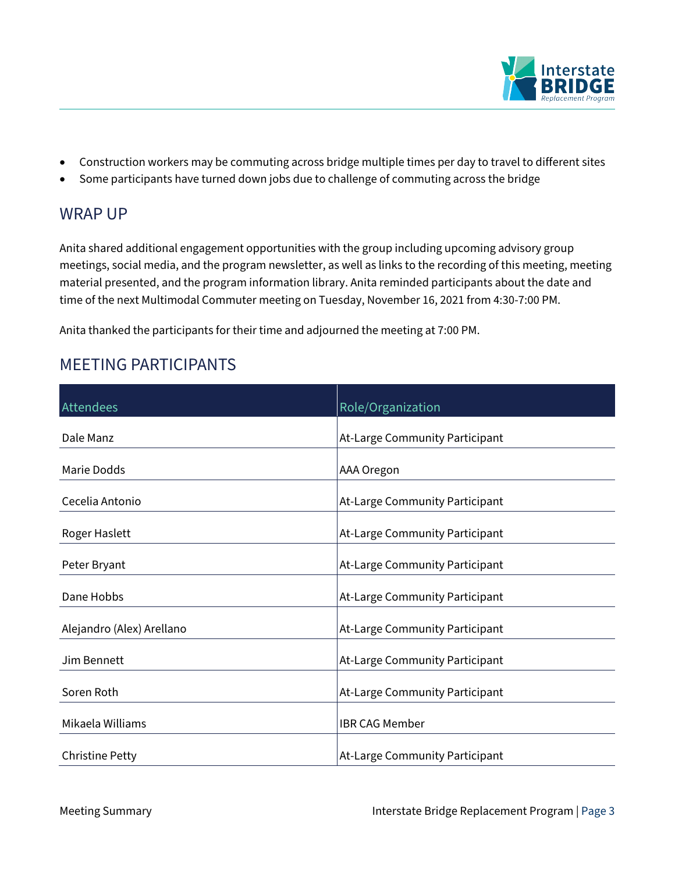

- Construction workers may be commuting across bridge multiple times per day to travel to different sites
- Some participants have turned down jobs due to challenge of commuting across the bridge

### WRAP UP

Anita shared additional engagement opportunities with the group including upcoming advisory group meetings, social media, and the program newsletter, as well as links to the recording of this meeting, meeting material presented, and the program information library. Anita reminded participants about the date and time of the next Multimodal Commuter meeting on Tuesday, November 16, 2021 from 4:30-7:00 PM.

Anita thanked the participants for their time and adjourned the meeting at 7:00 PM.

## MEETING PARTICIPANTS

| Attendees                 | Role/Organization              |
|---------------------------|--------------------------------|
|                           |                                |
| Dale Manz                 | At-Large Community Participant |
| Marie Dodds               | AAA Oregon                     |
| Cecelia Antonio           | At-Large Community Participant |
| Roger Haslett             | At-Large Community Participant |
| Peter Bryant              | At-Large Community Participant |
| Dane Hobbs                | At-Large Community Participant |
| Alejandro (Alex) Arellano | At-Large Community Participant |
| Jim Bennett               | At-Large Community Participant |
| Soren Roth                | At-Large Community Participant |
| Mikaela Williams          | <b>IBR CAG Member</b>          |
| <b>Christine Petty</b>    | At-Large Community Participant |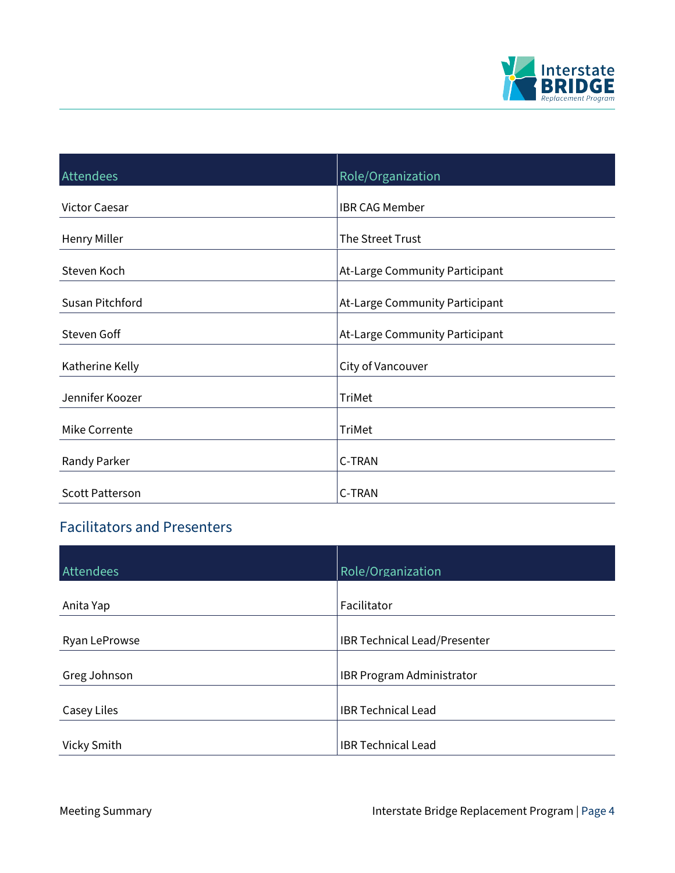

| Attendees              | Role/Organization              |
|------------------------|--------------------------------|
| <b>Victor Caesar</b>   | <b>IBR CAG Member</b>          |
| <b>Henry Miller</b>    | The Street Trust               |
| Steven Koch            | At-Large Community Participant |
| Susan Pitchford        | At-Large Community Participant |
| Steven Goff            | At-Large Community Participant |
| Katherine Kelly        | City of Vancouver              |
| Jennifer Koozer        | <b>TriMet</b>                  |
| Mike Corrente          | <b>TriMet</b>                  |
| Randy Parker           | C-TRAN                         |
| <b>Scott Patterson</b> | C-TRAN                         |

## Facilitators and Presenters

| Attendees     | Role/Organization                |
|---------------|----------------------------------|
| Anita Yap     | Facilitator                      |
| Ryan LeProwse | IBR Technical Lead/Presenter     |
| Greg Johnson  | <b>IBR Program Administrator</b> |
| Casey Liles   | <b>IBR Technical Lead</b>        |
| Vicky Smith   | <b>IBR Technical Lead</b>        |